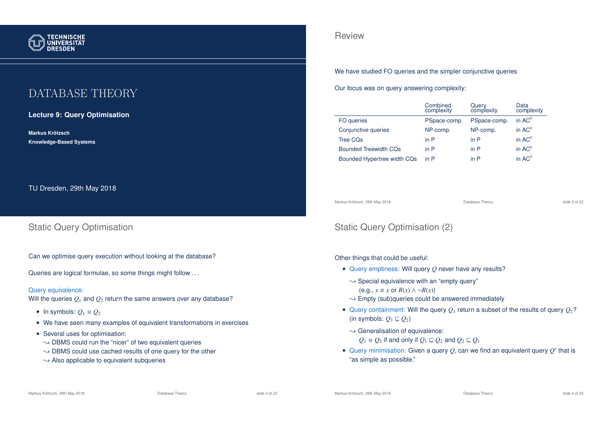

# DATABASE THEORY

**Lecture 9: Query Optimisation**

**Markus Krotzsch ¨ Knowledge-Based Systems**

TU Dresden, 29th May 2018

## Static Query Optimisation

Can we optimise query execution without looking at the database?

Queries are logical formulae, so some things might follow ...

### Query equivalence:

Will the queries  $Q_1$  and  $Q_2$  return the same answers over any database?

- In symbols:  $Q_1 \equiv Q_2$
- We have seen many examples of equivalent transformations in exercises
- Several uses for optimisation:
	- $\rightarrow$  DBMS could run the "nicer" of two equivalent queries
- $\sim$  DBMS could use cached results of one query for the other
- $\rightarrow$  Also applicable to equivalent subqueries

## Review

We have studied FO queries and the simpler conjunctive queries

Our focus was on query answering complexity:

|                              | Combined<br>complexity | Query<br>complexity | Data<br>complexity |
|------------------------------|------------------------|---------------------|--------------------|
| FO queries                   | PSpace-comp.           | PSpace-comp.        | in $AC^0$          |
| Conjunctive queries          | NP-comp.               | NP-comp.            | in $AC0$           |
| Tree COs                     | in $P$                 | in $P$              | in $AC^0$          |
| <b>Bounded Treewidth CQs</b> | in P                   | in P                | in $AC^0$          |
| Bounded Hypertree width CQs  | in P                   | in P                | in $AC0$           |

Markus Krötzsch, 29th May 2018 Database Theory slide 2 of 22

# Static Query Optimisation (2)

Other things that could be useful:

- Query emptiness: Will query *Q* never have any results?
	- $\rightarrow$  Special equivalence with an "empty query"
		- $(e.g., x \neq x \text{ or } R(x) \land \neg R(x))$
	- $\rightarrow$  Empty (sub)queries could be answered immediately
- Query containment: Will the query  $Q_1$  return a subset of the results of query  $Q_2$ ? (in symbols:  $Q_1 \sqsubseteq Q_2$ )
	- $\rightarrow$  Generalisation of equivalence:
		- *Q*<sub>1</sub> ≡ *Q*<sub>2</sub> if and only if  $Q$ <sub>1</sub> ⊆  $Q$ <sub>2</sub> and  $Q$ <sub>2</sub> ⊆  $Q$ <sub>1</sub>
- $\bullet$  Query minimisation: Given a query  $Q$ , can we find an equivalent query  $Q'$  that is "as simple as possible."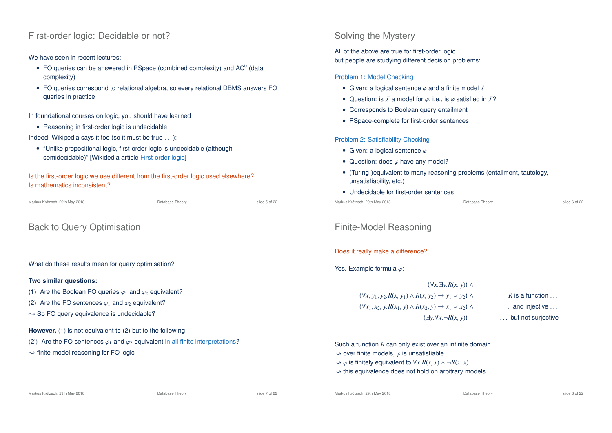## First-order logic: Decidable or not?

### We have seen in recent lectures:

- FO queries can be answered in PSpace (combined complexity) and AC $^0$  (data complexity)
- FO queries correspond to relational algebra, so every relational DBMS answers FO queries in practice

In foundational courses on logic, you should have learned

• Reasoning in first-order logic is undecidable

Indeed, Wikipedia says it too (so it must be true . . . ):

• "Unlike propositional logic, first-order logic is undecidable (although semidecidable)" [Wikidedia article First-order logic]

Is the first-order logic we use different from the first-order logic used elsewhere? Is mathematics inconsistent?

Markus Krötzsch, 29th May 2018 Database Theory slide 5 of 22

# Back to Query Optimisation

What do these results mean for query optimisation?

### **Two similar questions:**

- (1) Are the Boolean FO queries  $\varphi_1$  and  $\varphi_2$  equivalent?
- (2) Are the FO sentences  $\varphi_1$  and  $\varphi_2$  equivalent?
- $\rightarrow$  So FO query equivalence is undecidable?

**However,** (1) is not equivalent to (2) but to the following:

(2') Are the FO sentences  $\varphi_1$  and  $\varphi_2$  equivalent in all finite interpretations?

 $\rightarrow$  finite-model reasoning for FO logic

## Solving the Mystery

All of the above are true for first-order logic but people are studying different decision problems:

### Problem 1: Model Checking

- Given: a logical sentence  $\varphi$  and a finite model  $I$
- Question: is  $I$  a model for  $\varphi$ , i.e., is  $\varphi$  satisfied in  $I$ ?
- Corresponds to Boolean query entailment
- PSpace-complete for first-order sentences

### Problem 2: Satisfiability Checking

- Given: a logical sentence  $\varphi$
- Question: does  $\varphi$  have any model?
- (Turing-)equivalent to many reasoning problems (entailment, tautology, unsatisfiability, etc.)
- Undecidable for first-order sentences

Markus Krötzsch, 29th May 2018 Database Theory slide 6 of 22

## Finite-Model Reasoning

### Does it really make a difference?

## Yes. Example formula  $\varphi$ :

 ∀*x*.∃*y*.*R*(*x*, *y*) ∧ ∀*x*, *y*<sup>1</sup>, *y*<sup>2</sup>.*R*(*x*, *y*1) ∧ *R*(*x*, *y*2) → *y*<sup>1</sup> ≈ *y*<sup>2</sup> ∧ *R* is a function . . . ∀*x*<sup>1</sup>, *x*<sup>2</sup>, *y*.*R*(*x*<sup>1</sup>, *y*) ∧ *R*(*x*<sup>2</sup>, *y*) → *x*<sup>1</sup> ≈ *x*<sup>2</sup> ∧ . . . and injective . . . ∃*y*.∀*x*.¬*R*(*x*, *y*) ... but not suriective

### Such a function *R* can only exist over an infinite domain.

- $\rightarrow$  over finite models,  $\varphi$  is unsatisfiable
- $\rightarrow \infty$  is finitely equivalent to  $\forall x \, R(x, x) \land \neg R(x, x)$
- $\rightarrow$  this equivalence does not hold on arbitrary models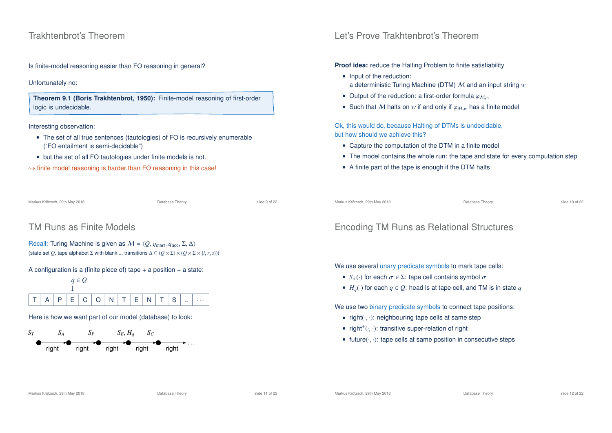## Trakhtenbrot's Theorem

Is finite-model reasoning easier than FO reasoning in general?

### Unfortunately no:

**Theorem 9.1 (Boris Trakhtenbrot, 1950):** Finite-model reasoning of first-order logic is undecidable.

Interesting observation:

- The set of all true sentences (tautologies) of FO is recursively enumerable ("FO entailment is semi-decidable")
- but the set of all FO tautologies under finite models is not.
- $\rightarrow$  finite model reasoning is harder than FO reasoning in this case!

Markus Krötzsch, 29th May 2018 Database Theory slide 9 of 22

# TM Runs as Finite Models

```
Recall: Turing Machine is given as M = \langle Q, q_{start}, q_{acc}, \Sigma, \Delta \rangle(state set Q, tape alphabet \Sigma with blank \Box, transitions \Delta \subseteq (Q \times \Sigma) \times (Q \times \Sigma \times \{l, r, s\}))
```
A configuration is a (finite piece of) tape  $+$  a position  $+$  a state:



Here is how we want part of our model (database) to look:



# Let's Prove Trakhtenbrot's Theorem

### **Proof idea:** reduce the Halting Problem to finite satisfiability

- Input of the reduction: a deterministic Turing Machine (DTM) M and an input string *w*
- Output of the reduction: a first-order formula  $\varphi_{M,w}$
- Such that M halts on  $w$  if and only if  $\varphi_{M,w}$  has a finite model

Ok, this would do, because Halting of DTMs is undecidable, but how should we achieve this?

- Capture the computation of the DTM in a finite model
- The model contains the whole run: the tape and state for every computation step
- A finite part of the tape is enough if the DTM halts

Markus Krötzsch, 29th May 2018 Database Theory slide 10 of 22

# Encoding TM Runs as Relational Structures

We use several unary predicate symbols to mark tape cells:

- $S_{\sigma}(\cdot)$  for each  $\sigma \in \Sigma$ : tape cell contains symbol  $\sigma$
- $H_q(\cdot)$  for each  $q \in Q$ : head is at tape cell, and TM is in state q

We use two binary predicate symbols to connect tape positions:

- $right(\cdot, \cdot)$ : neighbouring tape cells at same step
- right<sup>+</sup> $(\cdot, \cdot)$ : transitive super-relation of right
- future $(\cdot, \cdot)$ : tape cells at same position in consecutive steps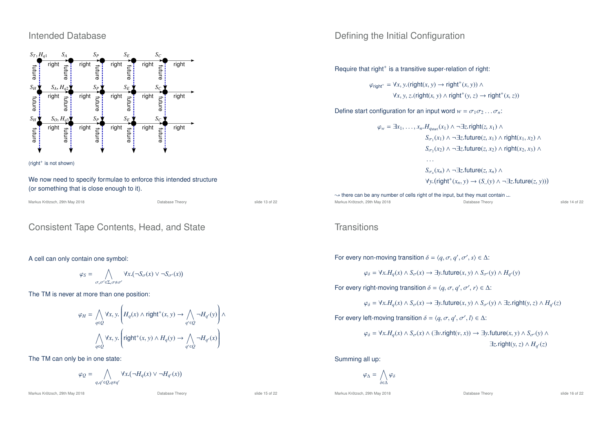## Intended Database





We now need to specify formulae to enforce this intended structure (or something that is close enough to it).

| Markus Krötzsch, 29th May 2018 | Database Theory | slide 13 of 22 |
|--------------------------------|-----------------|----------------|
|                                |                 |                |

## Consistent Tape Contents, Head, and State

### A cell can only contain one symbol:

$$
\varphi_S = \bigwedge_{\sigma,\sigma' \in \Sigma, \sigma \neq \sigma'} \forall x. (\neg S_{\sigma}(x) \vee \neg S_{\sigma'}(x))
$$

The TM is never at more than one position:

$$
\varphi_H = \bigwedge_{q \in Q} \forall x, y. \left( H_q(x) \land \text{right}^+(x, y) \to \bigwedge_{q' \in Q} \neg H_{q'}(y) \right) \land \n\bigwedge_{q \in Q} \forall x, y. \left( \text{right}^+(x, y) \land H_q(y) \to \bigwedge_{q' \in Q} \neg H_{q'}(x) \right)
$$

The TM can only be in one state:

$$
\varphi_Q = \bigwedge_{q,q' \in Q, q \neq q'} \forall x. (\neg H_q(x) \vee \neg H_{q'}(x))
$$

Markus Krötzsch, 29th May 2018 **Database Theory** Database Theory slide 15 of 22

## Defining the Initial Configuration

Require that right<sup>+</sup> is a transitive super-relation of right:

 $\varphi_{\text{right}^+} = \forall x, y.(\text{right}(x, y) \rightarrow \text{right}^+(x, y))$  ∧  $\forall$ *x*, *y*, *z*.(right(*x*, *y*) ∧ right<sup>+</sup>(*y*, *z*) → right<sup>+</sup>(*x*, *z*))

Define start configuration for an input word  $w = \sigma_1 \sigma_2 \dots \sigma_n$ :

$$
\varphi_w = \exists x_1, \dots, x_n. H_{q_{\text{start}}}(x_1) \land \neg \exists z.\text{right}(z, x_1) \land
$$
  
\n
$$
S_{\sigma_1}(x_1) \land \neg \exists z.\text{future}(z, x_1) \land \text{right}(x_1, x_2) \land
$$
  
\n
$$
S_{\sigma_2}(x_2) \land \neg \exists z.\text{future}(z, x_2) \land \text{right}(x_2, x_3) \land
$$
  
\n...

 $S_{\sigma_n}(x_n)$  ∧ ¬∃*z*.future(*z*, *x*<sub>*n*</sub>) ∧  $\forall y. (right^+(x_n, y) \rightarrow (S_-(y) \land \neg \exists z. future(z, y)))$ 

 $\rightarrow$  there can be any number of cells right of the input, but they must contain ... Markus Krötzsch, 29th May 2018 Database Theory slide 14 of 22

## **Transitions**

For every non-moving transition  $\delta = \langle q, \sigma, q', \sigma', s \rangle \in \Delta$ :

$$
\varphi_{\delta} = \forall x. H_q(x) \land S_{\sigma}(x) \rightarrow \exists y. \text{future}(x, y) \land S_{\sigma'}(y) \land H_{q'}(y)
$$

For every right-moving transition  $\delta = \langle q, \sigma, q', \sigma', r \rangle \in \Delta$ :

$$
\varphi_{\delta} = \forall x. H_q(x) \land S_{\sigma}(x) \rightarrow \exists y. \text{future}(x, y) \land S_{\sigma'}(y) \land \exists z. \text{right}(y, z) \land H_{q'}(z)
$$

For every left-moving transition  $\delta = \langle q, \sigma, q', \sigma', l \rangle \in \Delta$ :

$$
\varphi_{\delta} = \forall x. H_{q}(x) \land S_{\sigma}(x) \land (\exists v.\mathsf{right}(v,x)) \rightarrow \exists y.\mathsf{future}(x,y) \land S_{\sigma'}(y) \land \exists z.\mathsf{right}(v,z) \land H_{q'}(z)
$$

Summing all up:

$$
\varphi_{\Delta} = \bigwedge_{\delta \in \Delta} \varphi_{\delta}
$$

Markus Krötzsch, 29th May 2018 Database Theory slide 16 of 22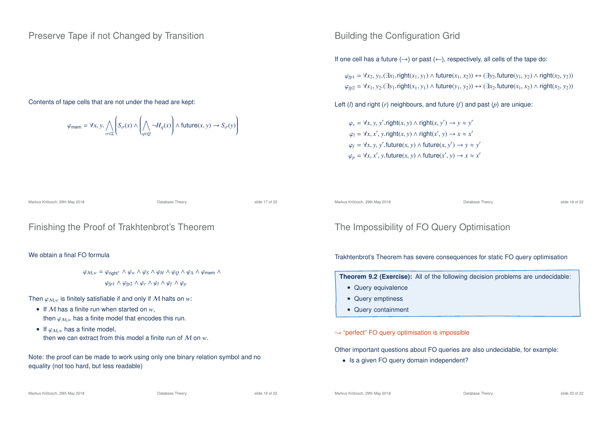## Preserve Tape if not Changed by Transition

### Contents of tape cells that are not under the head are kept:

$$
\varphi_{\text{mem}} = \forall x, y \ldotp \bigwedge_{\sigma \in \Sigma} \left( S_{\sigma}(x) \land \left( \bigwedge_{q \in Q} \neg H_q(x) \right) \land \text{future}(x, y) \rightarrow S_{\sigma}(y) \right)
$$

## Building the Configuration Grid

If one cell has a future  $(\rightarrow)$  or past  $(\leftarrow)$ , respectively, all cells of the tape do:

 $\varphi_{fn1} = \forall x_2, y_1$ . (∃*x*<sub>1</sub>. right(*x*<sub>1</sub>, *y*<sub>1</sub>) ∧ future(*x*<sub>1</sub>, *x*<sub>2</sub>)) ↔ (∃*y*<sub>2</sub>. future(*y*<sub>1</sub>, *y*<sub>2</sub>) ∧ right(*x*<sub>2</sub>, *y*<sub>2</sub>))  $\varphi_{fp2} = \forall x_1, y_2$ .(∃ $y_1$ .right $(x_1, y_1)$  ∧ future $(y_1, y_2)$ ) ↔  $(\exists x_2$ .future $(x_1, x_2)$  ∧ right $(x_2, y_2)$ )

Left (*l*) and right (*r*) neighbours, and future (*f*) and past (*p*) are unique:

 $\varphi_r = \forall x, y, y'$ .right $(x, y) \land$ right $(x, y') \rightarrow y \approx y'$  $\varphi_l = \forall x, x', y.\mathsf{right}(x, y) \land \mathsf{right}(x', y) \rightarrow x \approx x'$  $\varphi_f = \forall x, y, y'$ .future $(x, y) \land$  future $(x, y') \rightarrow y \approx y'$  $\varphi_p = \forall x, x', y$ .future $(x, y) \land$  future $(x', y) \rightarrow x \approx x'$ 

Markus Krötzsch, 29th May 2018 Database Theory slide 17 of 22

## Finishing the Proof of Trakhtenbrot's Theorem

### We obtain a final FO formula

 $\varphi_{M,w} = \varphi_{\text{right}^+} \wedge \varphi_w \wedge \varphi_S \wedge \varphi_H \wedge \varphi_O \wedge \varphi_\Delta \wedge \varphi_{\text{mem}} \wedge$  $\varphi$ <sub>*fp*1</sub> ∧  $\varphi$ <sub>*fp*2</sub> ∧  $\varphi$ <sub>*r*</sub> ∧  $\varphi$ <sub>*l*</sub> ∧  $\varphi$ <sub>*f*</sub> ∧  $\varphi$ <sub>*p*</sub>

Then  $\varphi_{M,w}$  is finitely satisfiable if and only if M halts on  $w$ :

- If M has a finite run when started on *w*, then  $\varphi_{M,w}$  has a finite model that encodes this run.
- If  $\varphi_{M,w}$  has a finite model, then we can extract from this model a finite run of M on *w*.

Note: the proof can be made to work using only one binary relation symbol and no equality (not too hard, but less readable)

#### Markus Krötzsch, 29th May 2018 Database Theory slide 18 of 22

## The Impossibility of FO Query Optimisation

### Trakhtenbrot's Theorem has severe consequences for static FO query optimisation

**Theorem 9.2 (Exercise):** All of the following decision problems are undecidable:

- Query equivalence
- Query emptiness
- Query containment

### $\rightarrow$  "perfect" FO query optimisation is impossible

Other important questions about FO queries are also undecidable, for example:

• Is a given FO query domain independent?